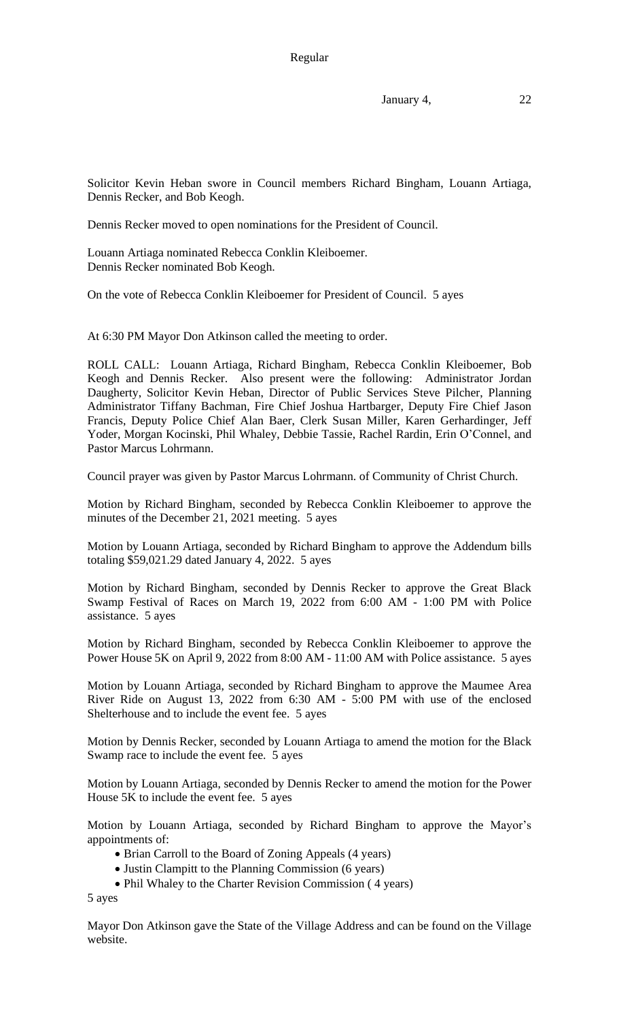January 4, 22

Solicitor Kevin Heban swore in Council members Richard Bingham, Louann Artiaga, Dennis Recker, and Bob Keogh.

Dennis Recker moved to open nominations for the President of Council.

Louann Artiaga nominated Rebecca Conklin Kleiboemer. Dennis Recker nominated Bob Keogh.

On the vote of Rebecca Conklin Kleiboemer for President of Council. 5 ayes

At 6:30 PM Mayor Don Atkinson called the meeting to order.

ROLL CALL: Louann Artiaga, Richard Bingham, Rebecca Conklin Kleiboemer, Bob Keogh and Dennis Recker. Also present were the following: Administrator Jordan Daugherty, Solicitor Kevin Heban, Director of Public Services Steve Pilcher, Planning Administrator Tiffany Bachman, Fire Chief Joshua Hartbarger, Deputy Fire Chief Jason Francis, Deputy Police Chief Alan Baer, Clerk Susan Miller, Karen Gerhardinger, Jeff Yoder, Morgan Kocinski, Phil Whaley, Debbie Tassie, Rachel Rardin, Erin O'Connel, and Pastor Marcus Lohrmann.

Council prayer was given by Pastor Marcus Lohrmann. of Community of Christ Church.

Motion by Richard Bingham, seconded by Rebecca Conklin Kleiboemer to approve the minutes of the December 21, 2021 meeting. 5 ayes

Motion by Louann Artiaga, seconded by Richard Bingham to approve the Addendum bills totaling \$59,021.29 dated January 4, 2022. 5 ayes

Motion by Richard Bingham, seconded by Dennis Recker to approve the Great Black Swamp Festival of Races on March 19, 2022 from 6:00 AM - 1:00 PM with Police assistance. 5 ayes

Motion by Richard Bingham, seconded by Rebecca Conklin Kleiboemer to approve the Power House 5K on April 9, 2022 from 8:00 AM - 11:00 AM with Police assistance. 5 ayes

Motion by Louann Artiaga, seconded by Richard Bingham to approve the Maumee Area River Ride on August 13, 2022 from 6:30 AM - 5:00 PM with use of the enclosed Shelterhouse and to include the event fee. 5 ayes

Motion by Dennis Recker, seconded by Louann Artiaga to amend the motion for the Black Swamp race to include the event fee. 5 ayes

Motion by Louann Artiaga, seconded by Dennis Recker to amend the motion for the Power House 5K to include the event fee. 5 ayes

Motion by Louann Artiaga, seconded by Richard Bingham to approve the Mayor's appointments of:

- Brian Carroll to the Board of Zoning Appeals (4 years)
- Justin Clampitt to the Planning Commission (6 years)
- Phil Whaley to the Charter Revision Commission ( 4 years)

5 ayes

Mayor Don Atkinson gave the State of the Village Address and can be found on the Village website.